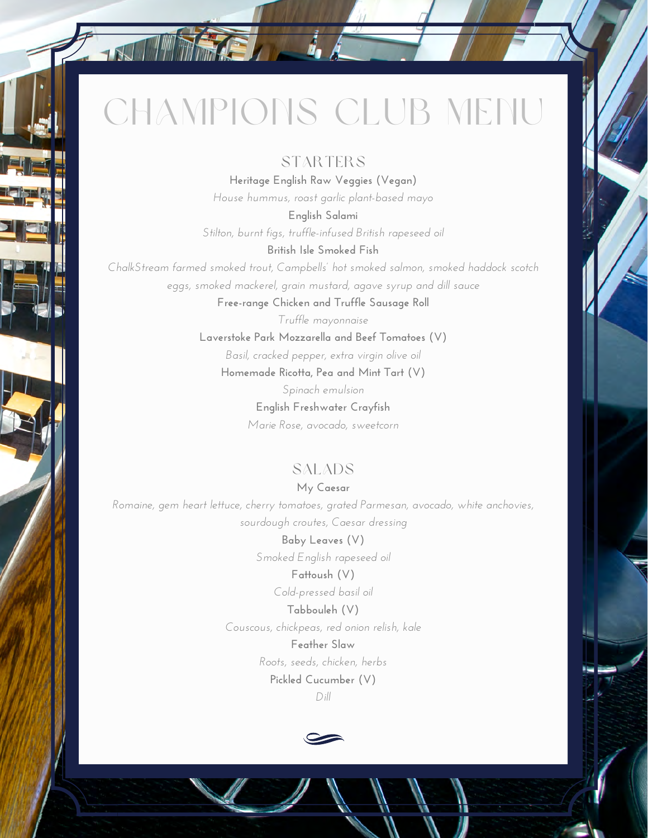# CHAMPIONS CLUB MENU

 $\mathbf{r}$ 

## STARTERS

**Heritage English Raw Veggies (Vegan)** *House hummus, roast garlic plant-based mayo*

**English Salami** *Stilton, burnt figs, truffle-infused British rapeseed oil*

**British Isle Smoked Fish**

*ChalkStream farmed smoked trout, Campbells' hot smoked salmon, smoked haddock scotch eggs, smoked mackerel, grain mustard, agave syrup and dill sauce*

**Free-range Chicken and Truffle Sausage Roll**

*Truffle mayonnaise* **Laverstoke Park Mozzarella and Beef Tomatoes (V)** *Basil, cracked pepper, extra virgin olive oil* **Homemade Ricotta, Pea and Mint Tart (V)** *Spinach emulsion*

**English Freshwater Crayfish** *Marie Rose, avocado, sweetcorn*

# SALADS

**My Caesar** *Romaine, gem heart lettuce, cherry tomatoes, grated Parmesan, avocado, white anchovies, sourdough croutes, Caesar dressing*

> **Baby Leaves (V)** *Smoked English rapeseed oil*

**Fattoush (V)** *Cold-pressed basil oil*

**Tabbouleh (V)** *Couscous, chickpeas, red onion relish, kale*

> **Feather Slaw** *Roots, seeds, chicken, herbs* **Pickled Cucumber (V)** *Dill*

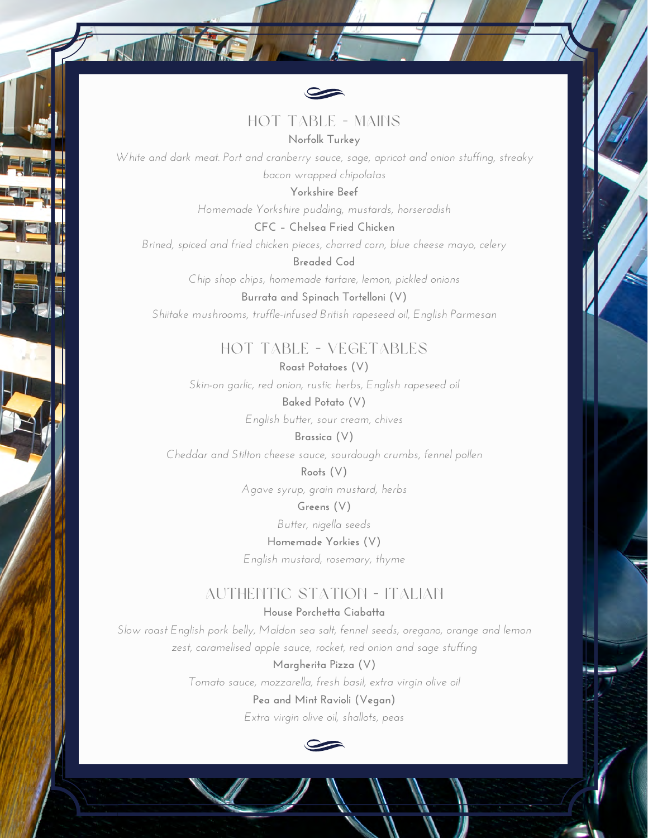

HOT TABLE - MAINS **Norfolk Turkey**

*White and dark meat. Port and cranberry sauce, sage, apricot and onion stuffing, streaky bacon wrapped chipolatas*

> **Yorkshire Beef** *Homemade Yorkshire pudding, mustards, horseradish*

**CFC – Chelsea Fried Chicken** *Brined, spiced and fried chicken pieces, charred corn, blue cheese mayo, celery*

**Breaded Cod** *Chip shop chips, homemade tartare, lemon, pickled onions* **Burrata and Spinach Tortelloni (V)**

*Shiitake mushrooms, truffle-infused British rapeseed oil, English Parmesan*

HOT TABLE - VEGETABLES

**Roast Potatoes (V)** *Skin-on garlic, red onion, rustic herbs, English rapeseed oil* **Baked Potato (V)**

*English butter, sour cream, chives*

**Brassica (V)** *Cheddar and Stilton cheese sauce, sourdough crumbs, fennel pollen*

> **Roots (V)** *Agave syrup, grain mustard, herbs* **Greens (V)**

*Butter, nigella seeds*

**Homemade Yorkies (V)** *English mustard, rosemary, thyme*

#### AUTHENTIC STATION - ITALIAN **House Porchetta Ciabatta**

*Slow roast English pork belly, Maldon sea salt, fennel seeds, oregano, orange and lemon zest, caramelised apple sauce, rocket, red onion and sage stuffing*

> **Margherita Pizza (V)** *Tomato sauce, mozzarella, fresh basil, extra virgin olive oil* **Pea and Mint Ravioli (Vegan)** *Extra virgin olive oil, shallots, peas*